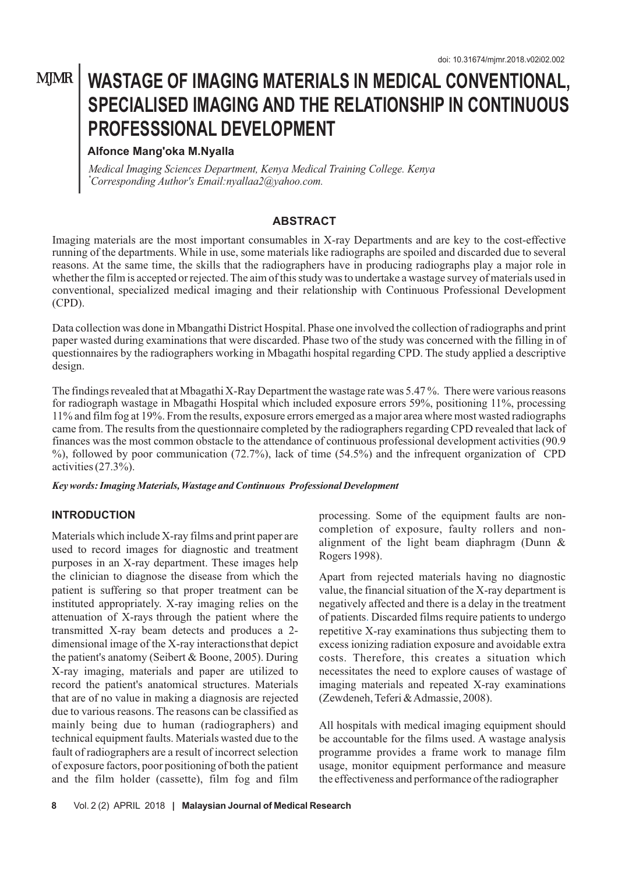## **MJMR**

# **WASTAGE OF IMAGING MATERIALS IN MEDICAL CONVENTIONAL, SPECIALISED IMAGING AND THE RELATIONSHIP IN CONTINUOUS PROFESSSIONAL DEVELOPMENT**

## **Alfonce Mang'oka M.Nyalla**

*Medical Imaging Sciences Department, Kenya Medical Training College. Kenya nyallaa2@yahoo.com. \*Corresponding Author's Email:*

#### **ABSTRACT**

Imaging materials are the most important consumables in X-ray Departments and are key to the cost-effective running of the departments. While in use, some materials like radiographs are spoiled and discarded due to several reasons. At the same time, the skills that the radiographers have in producing radiographs play a major role in whether the film is accepted or rejected. The aim of this study was to undertake a wastage survey of materials used in conventional, specialized medical imaging and their relationship with Continuous Professional Development (CPD).

Data collection was done in Mbangathi District Hospital. Phase one involved the collection of radiographs and print paper wasted during examinations that were discarded. Phase two of the study was concerned with the filling in of questionnaires by the radiographers working in Mbagathi hospital regarding CPD. The study applied a descriptive design.

The findings revealed that at Mbagathi X-Ray Department the wastage rate was 5.47 %. There were various reasons for radiograph wastage in Mbagathi Hospital which included exposure errors 59%, positioning 11%, processing 11% and film fog at 19%. From the results, exposure errors emerged as a major area where most wasted radiographs came from. The results from the questionnaire completed by the radiographers regarding CPD revealed that lack of finances was the most common obstacle to the attendance of continuous professional development activities (90.9 %), followed by poor communication (72.7%), lack of time (54.5%) and the infrequent organization of CPD activities (27.3%).

*Key words: Imaging Materials, Wastage and Continuous Professional Development*

#### **INTRODUCTION**

Materials which include X-ray films and print paper are used to record images for diagnostic and treatment purposes in an X-ray department. These images help the clinician to diagnose the disease from which the patient is suffering so that proper treatment can be instituted appropriately. X-ray imaging relies on the attenuation of X-rays through the patient where the transmitted X-ray beam detects and produces a 2 dimensional image of the X-ray interactionsthat depict the patient's anatomy (Seibert & Boone, 2005). During X-ray imaging, materials and paper are utilized to record the patient's anatomical structures. Materials that are of no value in making a diagnosis are rejected due to various reasons. The reasons can be classified as mainly being due to human (radiographers) and technical equipment faults. Materials wasted due to the fault of radiographers are a result of incorrect selection of exposure factors, poor positioning of both the patient and the film holder (cassette), film fog and film

processing. Some of the equipment faults are noncompletion of exposure, faulty rollers and nonalignment of the light beam diaphragm (Dunn & Rogers 1998).

Apart from rejected materials having no diagnostic value, the financial situation of the X-ray department is negatively affected and there is a delay in the treatment of patients Discarded films require patients to undergo . repetitive X-ray examinations thus subjecting them to excess ionizing radiation exposure and avoidable extra costs. Therefore, this creates a situation which necessitates the need to explore causes of wastage of imaging materials and repeated X-ray examinations (Zewdeneh, Teferi & Admassie, 2008).

All hospitals with medical imaging equipment should be accountable for the films used. A wastage analysis programme provides a frame work to manage film usage, monitor equipment performance and measure the effectiveness and performance of the radiographer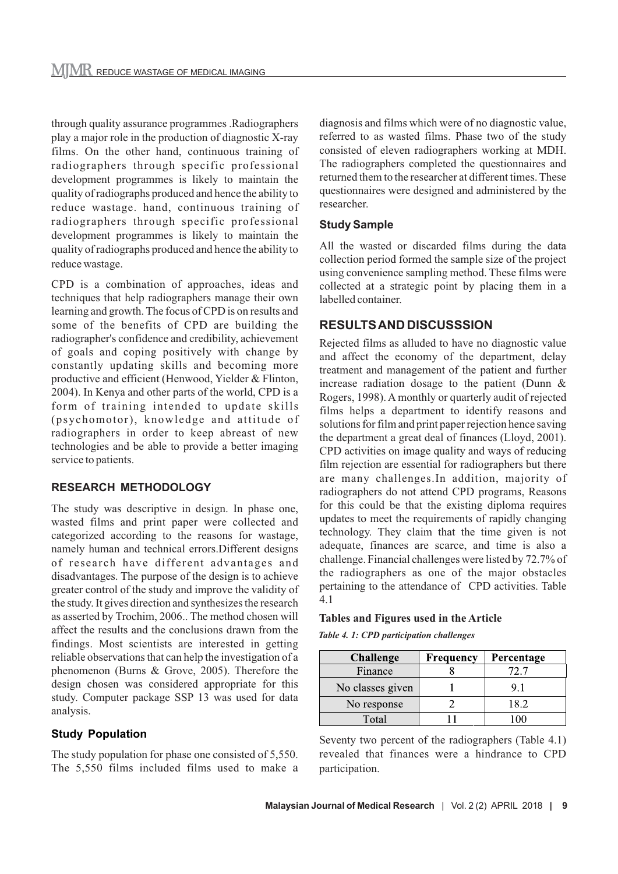through quality assurance programmes .Radiographers play a major role in the production of diagnostic X-ray films. On the other hand, continuous training of radiographers through specific professional development programmes is likely to maintain the quality of radiographs produced and hence the ability to reduce wastage. hand, continuous training of radiographers through specific professional development programmes is likely to maintain the quality of radiographs produced and hence the ability to reduce wastage.

CPD is a combination of approaches, ideas and techniques that help radiographers manage their own learning and growth. The focus of CPD is on results and some of the benefits of CPD are building the radiographer's confidence and credibility, achievement of goals and coping positively with change by constantly updating skills and becoming more productive and efficient (Henwood, Yielder & Flinton, 2004). In Kenya and other parts of the world, CPD is a form of training intended to update skills (psychomotor), knowledge and attitude of radiographers in order to keep abreast of new technologies and be able to provide a better imaging service to patients.

#### **RESEARCH METHODOLOGY**

The study was descriptive in design. In phase one, wasted films and print paper were collected and categorized according to the reasons for wastage, namely human and technical errors.Different designs of research have different advantages and disadvantages. The purpose of the design is to achieve greater control of the study and improve the validity of the study. It gives direction and synthesizes the research as asserted by Trochim, 2006.. The method chosen will affect the results and the conclusions drawn from the findings. Most scientists are interested in getting reliable observations that can help the investigation of a phenomenon (Burns & Grove, 2005). Therefore the design chosen was considered appropriate for this study. Computer package SSP 13 was used for data analysis.

## **Study Population**

The study population for phase one consisted of 5,550. The 5,550 films included films used to make a diagnosis and films which were of no diagnostic value, referred to as wasted films. Phase two of the study consisted of eleven radiographers working at MDH. The radiographers completed the questionnaires and returned them to the researcher at different times. These questionnaires were designed and administered by the researcher.

#### **Study Sample**

All the wasted or discarded films during the data collection period formed the sample size of the project using convenience sampling method. These films were collected at a strategic point by placing them in a labelled container.

## **RESULTS AND DISCUSSSION**

Rejected films as alluded to have no diagnostic value and affect the economy of the department, delay treatment and management of the patient and further increase radiation dosage to the patient (Dunn & Rogers, 1998). A monthly or quarterly audit of rejected films helps a department to identify reasons and solutions for film and print paper rejection hence saving the department a great deal of finances (Lloyd, 2001). CPD activities on image quality and ways of reducing film rejection are essential for radiographers but there are many challenges.In addition, majority of radiographers do not attend CPD programs, Reasons for this could be that the existing diploma requires updates to meet the requirements of rapidly changing technology. They claim that the time given is not adequate, finances are scarce, and time is also a challenge. Financial challenges were listed by 72.7% of the radiographers as one of the major obstacles pertaining to the attendance of CPD activities. Table 4.1

#### **Tables and Figures used in the Article**

*Table 4. 1: CPD participation challenges*

| <b>Challenge</b> | Frequency | Percentage |
|------------------|-----------|------------|
| Finance          |           |            |
| No classes given |           | 9.1        |
| No response      |           | 18.2       |
| Total            |           |            |

Seventy two percent of the radiographers (Table 4.1) revealed that finances were a hindrance to CPD participation.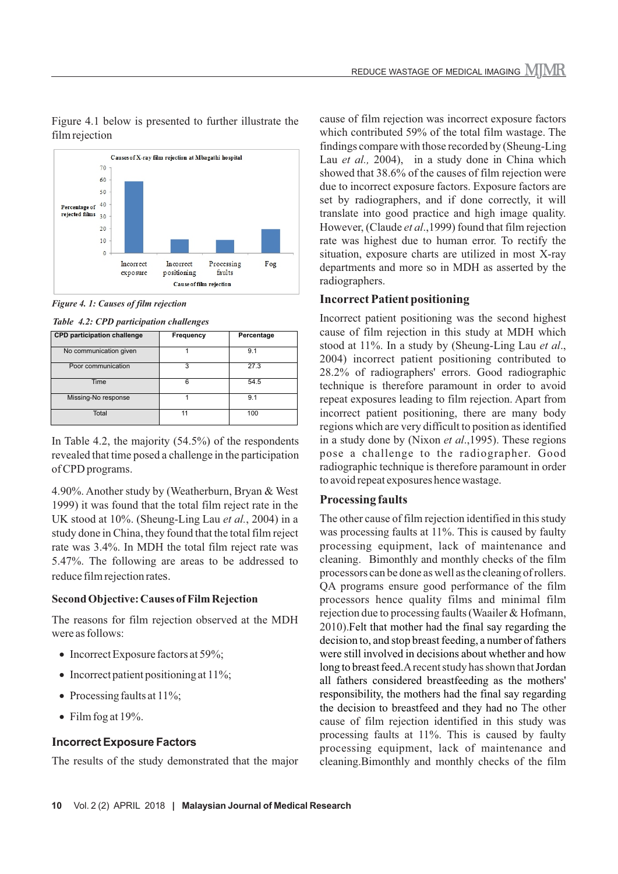

Figure 4.1 below is presented to further illustrate the film rejection

*Figure 4. 1: Causes of film rejection* 

*Table 4.2: CPD participation challenges*

| <b>CPD participation challenge</b> | Frequency | Percentage |
|------------------------------------|-----------|------------|
| No communication given             |           | 9.1        |
| Poor communication                 | 3         | 27.3       |
| Time                               | 6         | 54.5       |
| Missing-No response                |           | 9.1        |
| Total                              | 11        | 100        |

In Table 4.2, the majority (54.5%) of the respondents revealed that time posed a challenge in the participation of CPD programs.

4.90%. Another study by (Weatherburn, Bryan & West 1999) it was found that the total film reject rate in the UK stood at 10%. (Sheung-Ling Lau et al., 2004) in a study done in China, they found that the total film reject rate was 3.4%. In MDH the total film reject rate was 5.47%. The following are areas to be addressed to reduce film rejection rates.

#### **Second Objective: Causes of Film Rejection**

The reasons for film rejection observed at the MDH were as follows:

- Incorrect Exposure factors at 59%:
- Incorrect patient positioning at 11%;
- Processing faults at 11%;
- Film fog at  $19\%$ .

## **Incorrect Exposure Factors**

The results of the study demonstrated that the major

cause of film rejection was incorrect exposure factors which contributed 59% of the total film wastage. The findings compare with those recorded by (Sheung-Ling Lau *et al.*, 2004), in a study done in China which showed that 38.6% of the causes of film rejection were due to incorrect exposure factors. Exposure factors are set by radiographers, and if done correctly, it will translate into good practice and high image quality. However, (Claude *et al*.,1999) found that film rejection rate was highest due to human error. To rectify the situation, exposure charts are utilized in most X-ray departments and more so in MDH as asserted by the radiographers.

### **Incorrect Patient positioning**

Incorrect patient positioning was the second highest cause of film rejection in this study at MDH which stood at 11%. In a study by (Sheung-Ling Lau *et al*., 2004) incorrect patient positioning contributed to 28.2% of radiographers' errors. Good radiographic technique is therefore paramount in order to avoid repeat exposures leading to film rejection. Apart from incorrect patient positioning, there are many body regions which are very difficult to position as identified in a study done by (Nixon *et al.*, 1995). These regions pose a challenge to the radiographer. Good radiographic technique is therefore paramount in order to avoid repeat exposures hence wastage.

## **Processing faults**

The other cause of film rejection identified in this study was processing faults at 11%. This is caused by faulty processing equipment, lack of maintenance and cleaning. Bimonthly and monthly checks of the film processors can be done as well as the cleaning of rollers. QA programs ensure good performance of the film processors hence quality films and minimal film rejection due to processing faults (Waailer & Hofmann, 2010).Felt that mother had the final say regarding the decision to, and stop breast feeding, a number of fathers were still involved in decisions about whether and how long to breast feed.A recent study has shown that Jordan all fathers considered breastfeeding as the mothers' responsibility, the mothers had the final say regarding the decision to breastfeed and they had no The other cause of film rejection identified in this study was processing faults at 11%. This is caused by faulty processing equipment, lack of maintenance and cleaning.Bimonthly and monthly checks of the film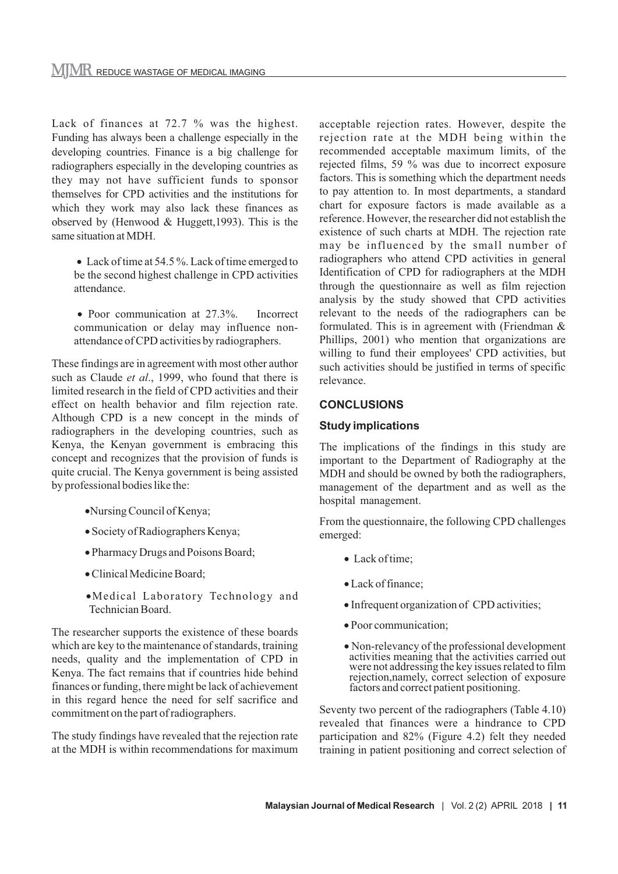Lack of finances at 72.7 % was the highest. Funding has always been a challenge especially in the developing countries. Finance is a big challenge for radiographers especially in the developing countries as they may not have sufficient funds to sponsor themselves for CPD activities and the institutions for which they work may also lack these finances as observed by (Henwood & Huggett,1993). This is the same situation at MDH.

- Lack of time at 54.5 %. Lack of time emerged to be the second highest challenge in CPD activities attendance.
- Poor communication at 27.3%. Incorrect communication or delay may influence nonattendance of CPD activities by radiographers.

These findings are in agreement with most other author such as Claude *et al*., 1999, who found that there is limited research in the field of CPD activities and their effect on health behavior and film rejection rate. Although CPD is a new concept in the minds of radiographers in the developing countries, such as Kenya, the Kenyan government is embracing this concept and recognizes that the provision of funds is quite crucial. The Kenya government is being assisted by professional bodies like the:

- ·Nursing Council of Kenya;
- · Society of Radiographers Kenya;
- · Pharmacy Drugs and Poisons Board;
- · Clinical Medicine Board;
- ·Medical Laboratory Technology and Technician Board.

 The researcher supports the existence of these boards which are key to the maintenance of standards, training needs, quality and the implementation of CPD in Kenya. The fact remains that if countries hide behind finances or funding, there might be lack of achievement in this regard hence the need for self sacrifice and commitment on the part of radiographers.

The study findings have revealed that the rejection rate at the MDH is within recommendations for maximum acceptable rejection rates. However, despite the rejection rate at the MDH being within the recommended acceptable maximum limits, of the rejected films, 59 % was due to incorrect exposure factors. This is something which the department needs to pay attention to. In most departments, a standard chart for exposure factors is made available as a reference. However, the researcher did not establish the existence of such charts at MDH. The rejection rate may be influenced by the small number of radiographers who attend CPD activities in general Identification of CPD for radiographers at the MDH through the questionnaire as well as film rejection analysis by the study showed that CPD activities relevant to the needs of the radiographers can be formulated. This is in agreement with (Friendman & Phillips, 2001) who mention that organizations are willing to fund their employees' CPD activities, but such activities should be justified in terms of specific relevance.

#### **CONCLUSIONS**

#### **Study implications**

The implications of the findings in this study are important to the Department of Radiography at the MDH and should be owned by both the radiographers, management of the department and as well as the hospital management.

From the questionnaire, the following CPD challenges emerged:

- Lack of time:
- · Lack of finance;
- · Infrequent organization of CPD activities;
- · Poor communication;
- · Non-relevancy of the professional development activities meaning that the activities carried out were not addressing the key issues related to film rejection,namely, correct selection of exposure factors and correct patient positioning.

Seventy two percent of the radiographers (Table 4.10) revealed that finances were a hindrance to CPD participation and 82% (Figure 4.2) felt they needed training in patient positioning and correct selection of